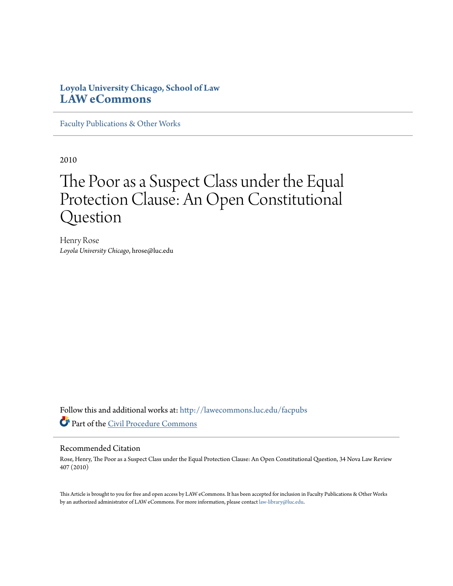# **Loyola University Chicago, School of Law [LAW eCommons](http://lawecommons.luc.edu?utm_source=lawecommons.luc.edu%2Ffacpubs%2F62&utm_medium=PDF&utm_campaign=PDFCoverPages)**

[Faculty Publications & Other Works](http://lawecommons.luc.edu/facpubs?utm_source=lawecommons.luc.edu%2Ffacpubs%2F62&utm_medium=PDF&utm_campaign=PDFCoverPages)

2010

# The Poor as a Suspect Class under the Equal Protection Clause: An Open Constitutional Question

Henry Rose *Loyola University Chicago*, hrose@luc.edu

Follow this and additional works at: [http://lawecommons.luc.edu/facpubs](http://lawecommons.luc.edu/facpubs?utm_source=lawecommons.luc.edu%2Ffacpubs%2F62&utm_medium=PDF&utm_campaign=PDFCoverPages) Part of the [Civil Procedure Commons](http://network.bepress.com/hgg/discipline/584?utm_source=lawecommons.luc.edu%2Ffacpubs%2F62&utm_medium=PDF&utm_campaign=PDFCoverPages)

#### Recommended Citation

Rose, Henry, The Poor as a Suspect Class under the Equal Protection Clause: An Open Constitutional Question, 34 Nova Law Review 407 (2010)

This Article is brought to you for free and open access by LAW eCommons. It has been accepted for inclusion in Faculty Publications & Other Works by an authorized administrator of LAW eCommons. For more information, please contact [law-library@luc.edu](mailto:law-library@luc.edu).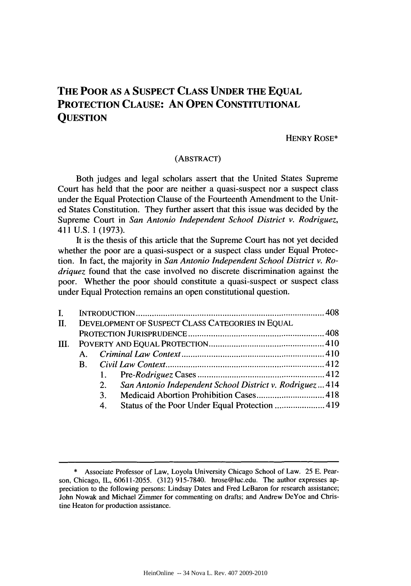## **THE POOR AS A SUSPECT CLASS UNDER THE EQUAL PROTECTION CLAUSE: AN OPEN CONSTITUTIONAL QUESTION**

#### HENRY ROSE\*

### (ABSTRACT)

Both judges and legal scholars assert that the United States Supreme Court has held that the poor are neither a quasi-suspect nor a suspect class under the Equal Protection Clause of the Fourteenth Amendment to the United States Constitution. They further assert that this issue was decided by the Supreme Court in *San Antonio Independent School District v. Rodriguez,* 411 U.S. 1 (1973).

It is the thesis of this article that the Supreme Court has not yet decided whether the poor are a quasi-suspect or a suspect class under Equal Protection. In fact, the majority in *San Antonio Independent School District v. Rodriquez* found that the case involved no discrete discrimination against the poor. Whether the poor should constitute a quasi-suspect or suspect class under Equal Protection remains an open constitutional question.

| $\mathbf{I}$ . |                                                  |                |                                                          |  |
|----------------|--------------------------------------------------|----------------|----------------------------------------------------------|--|
| $\Pi$ .        | DEVELOPMENT OF SUSPECT CLASS CATEGORIES IN EQUAL |                |                                                          |  |
|                |                                                  |                |                                                          |  |
|                |                                                  |                |                                                          |  |
|                |                                                  |                |                                                          |  |
|                | B.                                               |                |                                                          |  |
|                |                                                  |                |                                                          |  |
|                |                                                  | 2.             | San Antonio Independent School District v. Rodriguez 414 |  |
|                |                                                  | 3 <sub>1</sub> |                                                          |  |
|                |                                                  | 4.             |                                                          |  |
|                |                                                  |                |                                                          |  |

<sup>\*</sup> Associate Professor of Law, Loyola University Chicago School of Law. 25 E. Pearson, Chicago, IL, 60611-2055. (312) 915-7840. hrose@luc.edu. The author expresses appreciation to the following persons: Lindsay Dates and Fred LeBaron for research assistance; John Nowak and Michael Zimmer for commenting on drafts; and Andrew DeYoe and Christine Heaton for production assistance.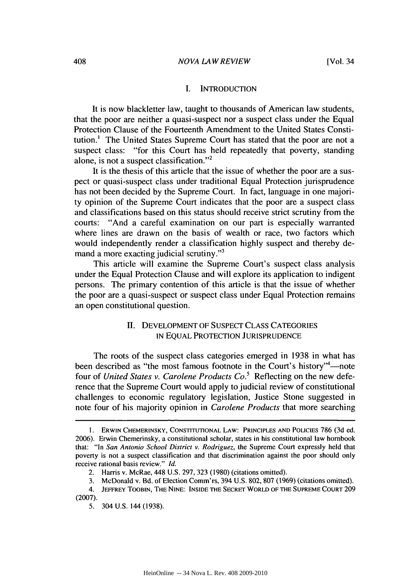#### I. INTRODUCTION

It is now blackletter law, taught to thousands of American law students, that the poor are neither a quasi-suspect nor a suspect class under the Equal Protection Clause of the Fourteenth Amendment to the United States Constitution.' The United States Supreme Court has stated that the poor are not a suspect class: "for this Court has held repeatedly that poverty, standing alone, is not a suspect classification."<sup>2</sup>

It is the thesis of this article that the issue of whether the poor are a suspect or quasi-suspect class under traditional Equal Protection jurisprudence has not been decided by the Supreme Court. In fact, language in one majority opinion of the Supreme Court indicates that the poor are a suspect class and classifications based on this status should receive strict scrutiny from the courts: "And a careful examination on our part is especially warranted where lines are drawn on the basis of wealth or race, two factors which would independently render a classification highly suspect and thereby demand a more exacting judicial scrutiny."3

This article will examine the Supreme Court's suspect class analysis under the Equal Protection Clause and will explore its application to indigent persons. The primary contention of this article is that the issue of whether the poor are a quasi-suspect or suspect class under Equal Protection remains an open constitutional question.

## HI. DEVELOPMENT OF SUSPECT CLASS CATEGORIES **IN EQUAL PROTECTION JURISPRUDENCE**

The roots of the suspect class categories emerged in 1938 in what has been described as "the most famous footnote in the Court's history"<sup>4</sup>—note four of *United States v. Carolene Products Co.5* Reflecting on the new deference that the Supreme Court would apply to judicial review of constitutional challenges to economic regulatory legislation, Justice Stone suggested in note four of his majority opinion in *Carolene Products* that more searching

<sup>1.</sup> ERWIN CHEMERINSKY, CONSTITUTIONAL LAW: PRINCIPLES **AND** POLICIEs 786 (3d ed. 2006). Erwin Chemerinsky, a constitutional scholar, states in his constitutional law hombook that: "In *San Antonio School District v. Rodriguez,* the Supreme Court expressly held that poverty is not a suspect classification and that discrimination against the poor should only receive rational basis review." *Id.*

<sup>2.</sup> Harris v. McRae, 448 U.S. 297, 323 (1980) (citations omitted).

<sup>3.</sup> McDonald v. Bd. of Election Comm'rs, 394 U.S. 802, 807 (1969) (citations omitted).

<sup>4.</sup> **JEFFREY TOOBIN,** THE **NINE: INSIDE** THE SECRET WORLD OF THE **SUPREME COURT** 209 (2007).

<sup>5. 304</sup> U.S. 144 (1938).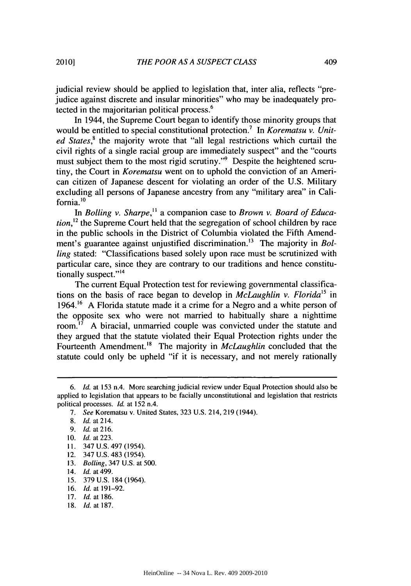judicial review should be applied to legislation that, inter alia, reflects "prejudice against discrete and insular minorities" who may be inadequately protected in the majoritarian political process.<sup>6</sup>

In 1944, the Supreme Court began to identify those minority groups that would be entitled to special constitutional protection.<sup>7</sup> In *Korematsu v. United States*,<sup>8</sup> the majority wrote that "all legal restrictions which curtail the civil rights of a single racial group are immediately suspect" and the "courts must subject them to the most rigid scrutiny."<sup>9</sup> Despite the heightened scrutiny, the Court in *Korematsu* went on to uphold the conviction of an American citizen of Japanese descent for violating an order of the U.S. Military excluding all persons of Japanese ancestry from any "military area" in Cali $fornia.<sup>10</sup>$ 

In *Bolling v. Sharpe*,<sup>11</sup> a companion case to *Brown v. Board of Education*,<sup>12</sup> the Supreme Court held that the segregation of school children by race in the public schools in the District of Columbia violated the Fifth Amendment's guarantee against unjustified discrimination.<sup>13</sup> The majority in *Bolling* stated: "Classifications based solely upon race must be scrutinized with particular care, since they are contrary to our traditions and hence constitutionally suspect."<sup>14</sup>

The current Equal Protection test for reviewing governmental classifications on the basis of race began to develop in *McLaughlin v. Florida*<sup>15</sup> in 1964.<sup>16</sup> A Florida statute made it a crime for a Negro and a white person of the opposite sex who were not married to habitually share a nighttime room.<sup>17</sup> A biracial, unmarried couple was convicted under the statute and they argued that the statute violated their Equal Protection rights under the Fourteenth Amendment.<sup>18</sup> The majority in *McLaughlin* concluded that the statute could only be upheld "if it is necessary, and not merely rationally

- 15. 379 U.S. 184 (1964).
- 16. *Id.* at 191-92.
- 17. Id. at 186.
- 18. Id. at 187.

<sup>6.</sup> *Id.* at 153 n.4. More searching judicial review under Equal Protection should also be applied to legislation that appears to be facially unconstitutional and legislation that restricts political processes. *Id.* at 152 n.4.

<sup>7.</sup> *See* Korematsu v. United States, 323 U.S. 214, 219 (1944).

<sup>8.</sup> *Id.* at 214.

<sup>9.</sup> *Id.* at 216.

**<sup>10.</sup>** Id. at 223.

**I.** 347 U.S. 497 (1954).

<sup>12. 347</sup> U.S. 483 (1954).

<sup>13.</sup> *Boiling,* 347 U.S. at 500.

<sup>14.</sup> *Id.* at 499.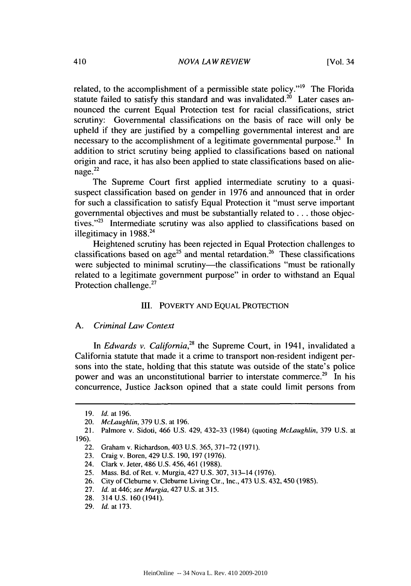related, to the accomplishment of a permissible state policy."'9 The Florida statute failed to satisfy this standard and was invalidated.<sup>20</sup> Later cases announced the current Equal Protection test for racial classifications, strict scrutiny: Governmental classifications on the basis of race will only be upheld if they are justified by a compelling governmental interest and are necessary to the accomplishment of a legitimate governmental purpose.<sup>21</sup> In addition to strict scrutiny being applied to classifications based on national origin and race, it has also been applied to state classifications based on alie $na\,$ ge. $^{22}$ 

The Supreme Court first applied intermediate scrutiny to a quasisuspect classification based on gender in 1976 and announced that in order for such a classification to satisfy Equal Protection it "must serve important governmental objectives and must be substantially related to **...** those objectives."<sup>23</sup> Intermediate scrutiny was also applied to classifications based on illegitimacy in  $1988.^{24}$ 

Heightened scrutiny has been rejected in Equal Protection challenges to classifications based on age<sup>25</sup> and mental retardation.<sup>26</sup> These classifications were subjected to minimal scrutiny—the classifications "must be rationally related to a legitimate government purpose" in order to withstand an Equal Protection challenge.<sup>27</sup>

#### III. POVERTY AND EQUAL PROTECTION

#### *A. Criminal Law Context*

In *Edwards v. California,28* the Supreme Court, in 1941, invalidated a California statute that made it a crime to transport non-resident indigent persons into the state, holding that this statute was outside of the state's police power and was an unconstitutional barrier to interstate commerce.<sup>29</sup> In his concurrence, Justice Jackson opined that a state could limit persons from

<sup>19.</sup> *Id.* at 196.

<sup>20.</sup> *McLaughlin,* 379 U.S. at 196.

<sup>21.</sup> Palmore v. Sidoti, 466 U.S. 429, 432-33 (1984) (quoting *McLaughlin,* 379 U.S. at 196).

<sup>22.</sup> Graham v. Richardson, 403 U.S. 365, 371-72 (1971).

<sup>23.</sup> Craig v. Boren, 429 U.S. 190, 197 (1976).

<sup>24.</sup> Clark v. Jeter, 486 U.S. 456, 461 (1988).

<sup>25.</sup> Mass. Bd. of Ret. v. Murgia, 427 U.S. 307, 313-14 (1976).

<sup>26.</sup> City of Cleburne v. Cleburne Living Ctr., Inc., 473 U.S. 432, 450 (1985).

<sup>27.</sup> Id. at 446; see Murgia, 427 U.S. at 315.

<sup>28. 314</sup> U.S. 160 (1941).

<sup>29.</sup> *Id.* at 173.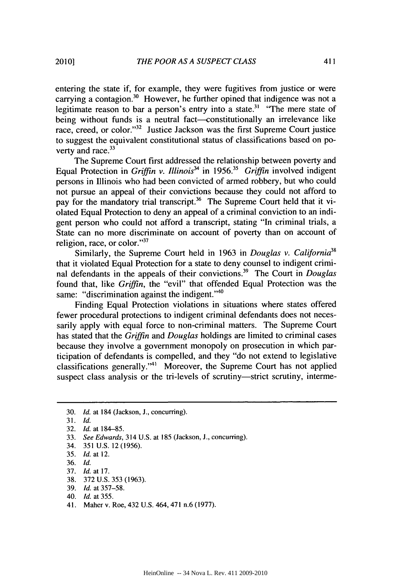entering the state if, for example, they were fugitives from justice or were carrying a contagion.<sup>30</sup> However, he further opined that indigence was not a legitimate reason to bar a person's entry into a state.<sup>31</sup> "The mere state of being without funds is a neutral fact-constitutionally an irrelevance like race, creed, or color."<sup>32</sup> Justice Jackson was the first Supreme Court justice to suggest the equivalent constitutional status of classifications based on poverty and race. $33$ 

The Supreme Court first addressed the relationship between poverty and Equal Protection in *Griffin v. Illinois*<sup>34</sup> in 1956.<sup>35</sup> *Griffin* involved indigent persons in Illinois who had been convicted of armed robbery, but who could not pursue an appeal of their convictions because they could not afford to pay for the mandatory trial transcript.<sup>36</sup> The Supreme Court held that it violated Equal Protection to deny an appeal of a criminal conviction to an indigent person who could not afford a transcript, stating "In criminal trials, a State can no more discriminate on account of poverty than on account of religion, race, or color. $137$ 

Similarly, the Supreme Court held in 1963 in *Douglas v. California38* that it violated Equal Protection for a state to deny counsel to indigent criminal defendants in the appeals of their convictions. 39 The Court in *Douglas* found that, like *Griffin,* the "evil" that offended Equal Protection was the same: "discrimination against the indigent."<sup>40</sup>

Finding Equal Protection violations in situations where states offered fewer procedural protections to indigent criminal defendants does not necessarily apply with equal force to non-criminal matters. The Supreme Court has stated that the *Griffin* and *Douglas* holdings are limited to criminal cases because they involve a government monopoly on prosecution in which participation of defendants is compelled, and they "do not extend to legislative classifications generally."<sup>41</sup> Moreover, the Supreme Court has not applied suspect class analysis or the tri-levels of scrutiny—strict scrutiny, interme-

- 35. *Id.* at 12.
- 36. *Id.*
- 37. *Id.* at 17.
- 38. 372 U.S. 353 (1963).
- 39. *Id.* at 357-58.
- 40. *Id.* at 355.
- 41. Maher v. Roe, 432 U.S. 464,471 n.6 (1977).

<sup>30.</sup> *Id.* at 184 (Jackson, **J.,** concurring).

<sup>31.</sup> *Id.*

<sup>32.</sup> *Id.* at 184-85.

<sup>33.</sup> *See Edwards,* 314 U.S. at 185 (Jackson, **J.,** concurring).

<sup>34. 351</sup> U.S. 12 (1956).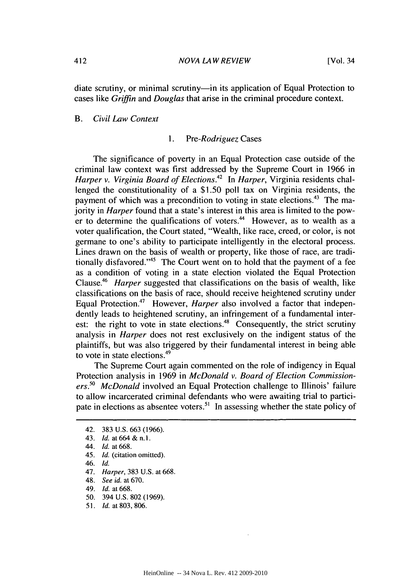diate scrutiny, or minimal scrutiny-in its application of Equal Protection to cases like *Griffin* and *Douglas* that arise in the criminal procedure context.

#### *B. Civil Law Context*

#### *1. Pre-Rodriguez* Cases

The significance of poverty in an Equal Protection case outside of the criminal law context was first addressed by the Supreme Court in 1966 in *Harper v. Virginia Board of Elections.42* In *Harper,* Virginia residents challenged the constitutionality of a \$1.50 poll tax on Virginia residents, the payment of which was a precondition to voting in state elections.<sup>43</sup> The majority in *Harper* found that a state's interest in this area is limited to the power to determine the qualifications of voters. $44$  However, as to wealth as a voter qualification, the Court stated, "Wealth, like race, creed, or color, is not germane to one's ability to participate intelligently in the electoral process. Lines drawn on the basis of wealth or property, like those of race, are traditionally disfavored.<sup> $145$ </sup> The Court went on to hold that the payment of a fee as a condition of voting in a state election violated the Equal Protection Clause.46 *Harper* suggested that classifications on the basis of wealth, like classifications on the basis of race, should receive heightened scrutiny under Equal Protection.<sup>47</sup> However, *Harper* also involved a factor that independently leads to heightened scrutiny, an infringement of a fundamental interest: the right to vote in state elections.<sup>48</sup> Consequently, the strict scrutiny analysis in *Harper* does not rest exclusively on the indigent status of the plaintiffs, but was also triggered by their fundamental interest in being able to vote in state elections.49

The Supreme Court again commented on the role of indigency in Equal Protection analysis in 1969 in *McDonald v. Board of Election Commissioners.50 McDonald* involved an Equal Protection challenge to Illinois' failure to allow incarcerated criminal defendants who were awaiting trial to participate in elections as absentee voters.<sup>51</sup> In assessing whether the state policy of

46. Id.

- 48. *See id.* at 670.
- 49. *Id.* at 668.
- 50. 394 U.S. 802 (1969).
- 51. Id. at 803, 806.

<sup>42. 383</sup> U.S. 663 (1966).

<sup>43.</sup> **Id.** at 664 **&** n.I.

<sup>44.</sup> *Id.* at 668.

<sup>45.</sup> *Id.* (citation omitted).

<sup>47.</sup> *Harper,* 383 U.S. at 668.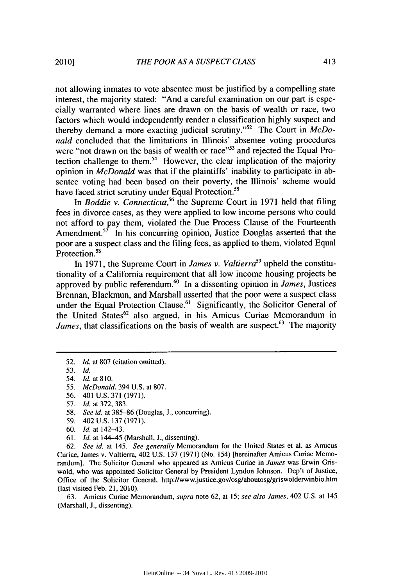not allowing inmates to vote absentee must be justified by a compelling state interest, the majority stated: "And a careful examination on our part is especially warranted where lines are drawn on the basis of wealth or race, two factors which would independently render a classification highly suspect and thereby demand a more exacting judicial scrutiny."<sup>52</sup> The Court in *McDonald* concluded that the limitations in Illinois' absentee voting procedures were "not drawn on the basis of wealth or race"<sup>53</sup> and rejected the Equal Protection challenge to them.<sup>54</sup> However, the clear implication of the majority opinion in *McDonald* was that if the plaintiffs' inability to participate in absentee voting had been based on their poverty, the Illinois' scheme would have faced strict scrutiny under Equal Protection.<sup>55</sup>

In *Boddie v. Connecticut*,<sup>56</sup> the Supreme Court in 1971 held that filing fees in divorce cases, as they were applied to low income persons who could not afford to pay them, violated the Due Process Clause of the Fourteenth Amendment.<sup>57</sup> In his concurring opinion, Justice Douglas asserted that the poor are a suspect class and the filing fees, as applied to them, violated Equal Protection.<sup>58</sup>

In 1971, the Supreme Court in *James v. Valtierra*<sup>59</sup> upheld the constitutionality of a California requirement that all low income housing projects be approved by public referendum.6 In a dissenting opinion in *James,* Justices Brennan, Blackmun, and Marshall asserted that the poor were a suspect class under the Equal Protection Clause.<sup>61</sup> Significantly, the Solicitor General of the United States<sup>62</sup> also argued, in his Amicus Curiae Memorandum in *James*, that classifications on the basis of wealth are suspect.<sup>63</sup> The majority

- 55. *McDonald,* 394 U.S. at 807.
- 56. 401 U.S. 371 (1971).
- 57. *Id.* at 372, 383.
- 58. *See id.* at 385-86 (Douglas, J., concurring).
- 59. 402 U.S. 137 (1971).
- 60. *Id.* at 142-43.
- 61. *Id.* at 144-45 (Marshall, **J.,** dissenting).

62. *See id.* at 145. *See generally* Memorandum for the United States et al. as Amicus Curiae, James v. Valtierra, 402 U.S. 137 (1971) (No. 154) [hereinafter Amicus Curiae Memorandum]. The Solicitor General who appeared as Amicus Curiae in *James* was Erwin Griswold, who was appointed Solicitor General by President Lyndon Johnson. Dep't of Justice, Office of the Solicitor General, http://www.justice.gov/osg/aboutosg/griswolderwinbio.htm (last visited Feb. 21, 2010).

63. Amicus Curiae Memorandum, supra note 62, at 15; *see also James,* 402 U.S. at 145 (Marshall, **J.,** dissenting).

<sup>52.</sup> *Id.* at 807 (citation omitted).

<sup>53.</sup> *Id.*

<sup>54.</sup> **Id.** at **810.**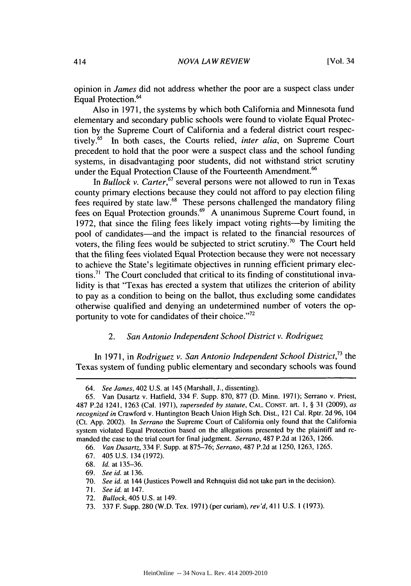opinion in *James* did not address whether the poor are a suspect class under Equal Protection.<sup>64</sup>

Also in 1971, the systems by which both California and Minnesota fund elementary and secondary public schools were found to violate Equal Protection by the Supreme Court of California and a federal district court respectively.65 In both cases, the Courts relied, *inter alia,* on Supreme Court precedent to hold that the poor were a suspect class and the school funding systems, in disadvantaging poor students, did not withstand strict scrutiny under the Equal Protection Clause of the Fourteenth Amendment.<sup>66</sup>

In *Bullock v. Carter*,<sup>67</sup> several persons were not allowed to run in Texas county primary elections because they could not afford to pay election filing fees required by state law.68 These persons challenged the mandatory filing fees on Equal Protection grounds.69 A unanimous Supreme Court found, in 1972, that since the filing fees likely impact voting rights----by limiting the pool of candidates—and the impact is related to the financial resources of voters, the filing fees would be subjected to strict scrutiny.<sup>70</sup> The Court held that the filing fees violated Equal Protection because they were not necessary to achieve the State's legitimate objectives in running efficient primary elections. 7' The Court concluded that critical to its finding of constitutional invalidity is that "Texas has erected a system that utilizes the criterion of ability to pay as a condition to being on the ballot, thus excluding some candidates otherwise qualified and denying an undetermined number of voters the opportunity to vote for candidates of their choice."<sup>72</sup>

#### 2. *San Antonio Independent School District v. Rodriguez*

In 1971, in *Rodriguez v. San Antonio Independent School District,73* the Texas system of funding public elementary and secondary schools was found

68. *Id.* at 135-36.

*<sup>64.</sup> See James,* 402 U.S. at 145 (Marshall, J., dissenting).

<sup>65.</sup> Van Dusartz v. Hatfield, 334 F. Supp. 870, 877 (D. Minn. 1971); Serrano v. Priest, 487 P.2d 1241, 1263 (Cal. 1971), *superseded by statute,* **CAL. CONST.** art. 1, § 31 (2009), *as recognized in* Crawford v. Huntington Beach Union High Sch. Dist., 121 Cal. Rptr. 2d 96, 104 (Ct. App. 2002). In *Serrano* the Supreme Court of California only found that the California system violated Equal Protection based on the allegations presented by the plaintiff and remanded the case to the trial court for final judgment. *Serrano,* 487 P.2d at 1263, 1266.

<sup>66.</sup> *Van Dusartz,* 334 F. Supp. at 875-76; *Serrano,* 487 P.2d at 1250, 1263, 1265.

<sup>67. 405</sup> U.S. 134 (1972).

<sup>69.</sup> *See* id. at 136.

<sup>70.</sup> *See* id. at 144 (Justices Powell and Rehnquist did not take part in the decision).

**<sup>71.</sup>** *See id.* at 147.

<sup>72.</sup> *Bullock,* 405 U.S. at 149.

<sup>73. 337</sup> F. Supp. 280 (W.D. Tex. 1971) (per curiam), rev'd, 411 U.S. **1** (1973).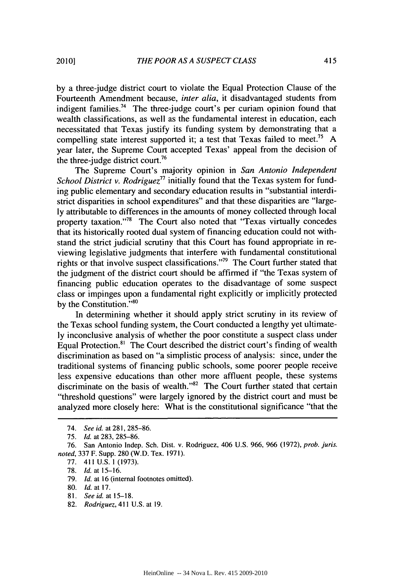by a three-judge district court to violate the Equal Protection Clause of the Fourteenth Amendment because, *inter alia,* it disadvantaged students from indigent families.<sup>74</sup> The three-judge court's per curiam opinion found that wealth classifications, as well as the fundamental interest in education, each necessitated that Texas justify its funding system by demonstrating that a compelling state interest supported it; a test that Texas failed to meet.<sup>75</sup> A year later, the Supreme Court accepted Texas' appeal from the decision of the three-judge district court.<sup>76</sup>

The Supreme Court's majority opinion in *San Antonio Independent School District v. Rodriguez*<sup>77</sup> initially found that the Texas system for funding public elementary and secondary education results in "substantial interdistrict disparities in school expenditures" and that these disparities are "largely attributable to differences in the amounts of money collected through local property taxation. '78 The Court also noted that "Texas virtually concedes that its historically rooted dual system of financing education could not withstand the strict judicial scrutiny that this Court has found appropriate in reviewing legislative judgments that interfere with fundamental constitutional rights or that involve suspect classifications."<sup>79</sup> The Court further stated that the judgment of the district court should be affirmed if "the Texas system of financing public education operates to the disadvantage of some suspect class or impinges upon a fundamental right explicitly or implicitly protected by the Constitution."<sup>80</sup>

In determining whether it should apply strict scrutiny in its review of the Texas school funding system, the Court conducted a lengthy yet ultimately inconclusive analysis of whether the poor constitute a suspect class under Equal Protection. 81 The Court described the district court's finding of wealth discrimination as based on "a simplistic process of analysis: since, under the traditional systems of financing public schools, some poorer people receive less expensive educations than other more affluent people, these systems discriminate on the basis of wealth."<sup>82</sup> The Court further stated that certain "threshold questions" were largely ignored by the district court and must be analyzed more closely here: What is the constitutional significance "that the

77. 411 U.S. 1 (1973).

79. *Id.* at 16 (internal footnotes omitted).

82. *Rodriguez,* 411 U.S. at 19.

<sup>74.</sup> *See id.* at 281, 285-86.

<sup>75.</sup> *Id.* at 283, 285-86.

<sup>76.</sup> San Antonio Indep. Sch. Dist. v. Rodriguez, 406 U.S. 966, 966 (1972), prob. *juris. noted,* 337 F. Supp. 280 (W.D. Tex. 1971).

<sup>78.</sup> *Id.* at 15-16.

<sup>80.</sup> *Id.* at 17.

<sup>81.</sup> *Seeid.* at 15-18.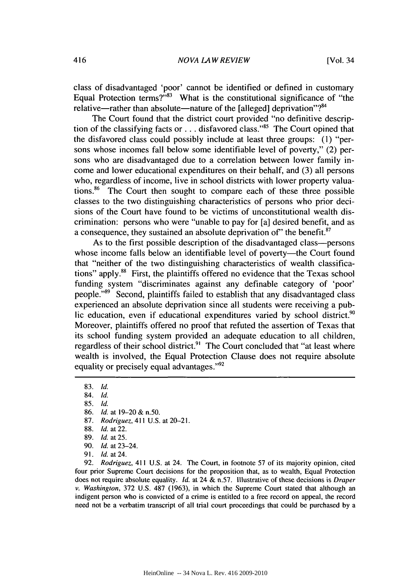class of disadvantaged 'poor' cannot be identified or defined in customary Equal Protection terms? $\dot{r}^{33}$  What is the constitutional significance of "the relative—rather than absolute—nature of the [alleged] deprivation"? $84$ 

The Court found that the district court provided "no definitive description of the classifying facts or . . . disfavored class."<sup>85</sup> The Court opined that the disfavored class could possibly include at least three groups: **(1)** "persons whose incomes fall below some identifiable level of poverty," (2) persons who are disadvantaged due to a correlation between lower family income and lower educational expenditures on their behalf, and (3) all persons who, regardless of income, live in school districts with lower property valuations. 86 The Court then sought to compare each of these three possible classes to the two distinguishing characteristics of persons who prior decisions of the Court have found to be victims of unconstitutional wealth discrimination: persons who were "unable to pay for [a] desired benefit, and as a consequence, they sustained an absolute deprivation *of'* the benefit. <sup>87</sup>

As to the first possible description of the disadvantaged class-persons whose income falls below an identifiable level of poverty—the Court found that "neither of the two distinguishing characteristics of wealth classifications" apply.88 First, the plaintiffs offered no evidence that the Texas school funding system "discriminates against any definable category of 'poor' people."<sup>89</sup> Second, plaintiffs failed to establish that any disadvantaged class experienced an absolute deprivation since all students were receiving a public education, even if educational expenditures varied by school district.<sup>90</sup> Moreover, plaintiffs offered no proof that refuted the assertion of Texas that its school funding system provided an adequate education to all children, regardless of their school district.<sup>91</sup> The Court concluded that "at least where wealth is involved, the Equal Protection Clause does not require absolute equality or precisely equal advantages."<sup>92</sup>

85. *Id.*

87. *Rodriguez,* 411 U.S. at 20-21.

- 90. *Id.* at 23-24.
- 91. *Id.* at 24.

92. *Rodriguez,* 411 U.S. at 24. The Court, in footnote 57 of its majority opinion, cited four prior Supreme Court decisions for the proposition that, as to wealth, Equal Protection does not require absolute equality. *Id.* at 24 & n.57. Illustrative of these decisions is *Draper v. Washington,* 372 U.S. 487 (1963), in which the Supreme Court stated that although an indigent person who is convicted of a crime is entitled to a free record on appeal, the record need not be a verbatim transcript of all trial court proceedings that could be purchased by a

<sup>83.</sup> *Id.*

<sup>84.</sup> *Id.*

<sup>86.</sup> *Id.* at 19-20 & n.50.

<sup>88.</sup> *Id.* at 22.

<sup>89.</sup> *Id.* at 25.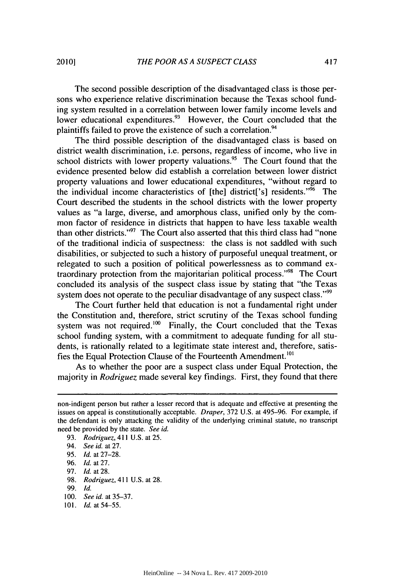The second possible description of the disadvantaged class is those persons who experience relative discrimination because the Texas school funding system resulted in a correlation between lower family income levels and lower educational expenditures. $93$  However, the Court concluded that the plaintiffs failed to prove the existence of such a correlation.<sup>94</sup>

The third possible description of the disadvantaged class is based on district wealth discrimination, i.e. persons, regardless of income, who live in school districts with lower property valuations.<sup>95</sup> The Court found that the evidence presented below did establish a correlation between lower district property valuations and lower educational expenditures, "without regard to the individual income characteristics of [the] district['s] residents."<sup>96</sup> The Court described the students in the school districts with the lower property values as "a large, diverse, and amorphous class, unified only by the common factor of residence in districts that happen to have less taxable wealth than other districts."<sup>97</sup> The Court also asserted that this third class had "none of the traditional indicia of suspectness: the class is not saddled with such disabilities, or subjected to such a history of purposeful unequal treatment, or relegated to such a position of political powerlessness as to command extraordinary protection from the majoritarian political process."98 The Court concluded its analysis of the suspect class issue by stating that "the Texas system does not operate to the peculiar disadvantage of any suspect class."<sup>99</sup>

The Court further held that education is not a fundamental right under the Constitution and, therefore, strict scrutiny of the Texas school funding system was not required.<sup>100</sup> Finally, the Court concluded that the Texas school funding system, with a commitment to adequate funding for all students, is rationally related to a legitimate state interest and, therefore, satisfies the Equal Protection Clause of the Fourteenth Amendment.<sup>101</sup>

As to whether the poor are a suspect class under Equal Protection, the majority in *Rodriguez* made several key findings. First, they found that there

101. *Id.* at 54-55.

non-indigent person but rather a lesser record that is adequate and effective at presenting the issues on appeal is constitutionally acceptable. *Draper,* 372 U.S. at 495-96. For example, if the defendant is only attacking the validity of the underlying criminal statute, no transcript need be provided by the state. *See id.*

<sup>93.</sup> *Rodriguez, 411* U.S. at 25.

<sup>94.</sup> *See id.* at 27.

<sup>95.</sup> *Id.* at 27-28.

<sup>96.</sup> *Id.* at 27.

<sup>97.</sup> *Id.* at 28.

<sup>98.</sup> *Rodriguez, 411* U.S. at 28.

<sup>99.</sup> *Id.*

<sup>100.</sup> *See id.* at 35-37.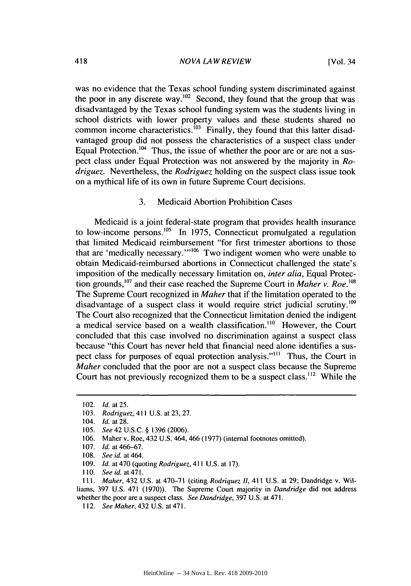was no evidence that the Texas school funding system discriminated against the poor in any discrete way.<sup>102</sup> Second, they found that the group that was disadvantaged by the Texas school funding system was the students living in school districts with lower property values and these students shared no common income characteristics.<sup>103</sup> Finally, they found that this latter disadvantaged group did not possess the characteristics of a suspect class under Equal Protection.<sup>104</sup> Thus, the issue of whether the poor are or are not a suspect class under Equal Protection was not answered by the majority in *Rodriguez.* Nevertheless, the *Rodriguez* holding on the suspect class issue took on a mythical life of its own in future Supreme Court decisions.

3. Medicaid Abortion Prohibition Cases

Medicaid is a joint federal-state program that provides health insurance to low-income persons.<sup>105</sup> In 1975, Connecticut promulgated a regulation that limited Medicaid reimbursement "for first trimester abortions to those that are 'medically necessary."<sup>106</sup> Two indigent women who were unable to obtain Medicaid-reimbursed abortions in Connecticut challenged the state's imposition of the medically necessary limitation on, *inter alia,* Equal Protection grounds,  $^{107}$  and their case reached the Supreme Court in *Maher v. Roe.*  $^{108}$ The Supreme Court recognized in *Maher* that if the limitation operated to the disadvantage of a suspect class it would require strict judicial scrutiny.<sup>109</sup> The Court also recognized that the Connecticut limitation denied the indigent a medical service based on a wealth classification.<sup>110</sup> However, the Court concluded that this case involved no discrimination against a suspect class because "this Court has never held that financial need alone identifies a suspect class for purposes of equal protection analysis."<sup>111</sup> Thus, the Court in *Maher* concluded that the poor are not a suspect class because the Supreme Court has not previously recognized them to be a suspect class.<sup>112</sup> While the

**Ill.** *Maher,* 432 U.S. at 470-71 (citing *Rodriquez 11,* 411 U.S. at 29; Dandridge v. Williams, 397 U.S. 471 (1970)). The Supreme Court majority in *Dandridge* did not address whether the poor are a suspect class. *See Dandridge,* 397 U.S. at 471.

<sup>102.</sup> *Id.* at **25.**

<sup>103.</sup> *Rodriguez*, 411 U.S. at 23, 27.

<sup>104.</sup> *Id.* at **28.**

<sup>105.</sup> *See42* U.S.C. § 1396 (2006).

<sup>106.</sup> Maher v. Roe, 432 U.S. 464, 466 (1977) (internal footnotes omitted).

<sup>107.</sup> *Id.* at 466-67.

<sup>108.</sup> *See id.* at 464.

<sup>109.</sup> *Id.* at 470 (quoting *Rodriguez,* 411 U.S. at 17).

**<sup>110.</sup>** *See id.* at 471.

<sup>112.</sup> *See Maher*, 432 U.S. at 471.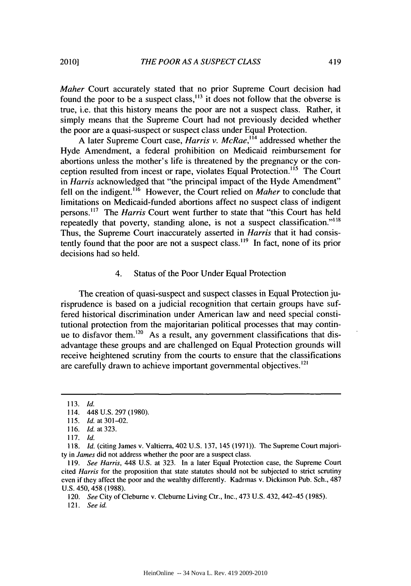*Maher* Court accurately stated that no prior Supreme Court decision had found the poor to be a suspect class,  $^{13}$  it does not follow that the obverse is true, i.e. that this history means the poor are not a suspect class. Rather, it simply means that the Supreme Court had not previously decided whether the poor are a quasi-suspect or suspect class under Equal Protection.

A later Supreme Court case, *Harris v. McRae*,<sup>114</sup> addressed whether the Hyde Amendment, a federal prohibition on Medicaid reimbursement for abortions unless the mother's life is threatened by the pregnancy or the conception resulted from incest or rape, violates Equal Protection.<sup>115</sup> The Court in *Harris* acknowledged that "the principal impact of the Hyde Amendment" fell on the indigent.<sup>116</sup> However, the Court relied on *Maher* to conclude that limitations on Medicaid-funded abortions affect no suspect class of indigent persons.<sup>117</sup> The *Harris* Court went further to state that "this Court has held repeatedly that poverty, standing alone, is not a suspect classification."<sup>118</sup> Thus, the Supreme Court inaccurately asserted in *Harris* that it had consistently found that the poor are not a suspect class.<sup>119</sup> In fact, none of its prior decisions had so held.

#### 4. Status of the Poor Under Equal Protection

The creation of quasi-suspect and suspect classes in Equal Protection jurisprudence is based on a judicial recognition that certain groups have suffered historical discrimination under American law and need special constitutional protection from the majoritarian political processes that may continue to disfavor them.<sup>120</sup> As a result, any government classifications that disadvantage these groups and are challenged on Equal Protection grounds will receive heightened scrutiny from the courts to ensure that the classifications are carefully drawn to achieve important governmental objectives.<sup>121</sup>

<sup>113.</sup> *Id.*

<sup>114. 448</sup> U.S. 297 (1980).

<sup>115.</sup> *Id.* at **301-02.**

<sup>116.</sup> *Id.* at 323.

<sup>117.</sup> *Id.*

<sup>118.</sup> **Id.** (citing James v. Valtierra, 402 U.S. 137, 145 (1971)). The Supreme Court majority in *James* did not address whether the poor are a suspect class.

<sup>119.</sup> *See Harris,* 448 U.S. at 323. In a later Equal Protection case, the Supreme Court cited *Harris* for the proposition that state statutes should not be subjected to strict scrutiny even if they affect the poor and the wealthy differently. Kadrmas v. Dickinson Pub. Sch., 487 U.S. 450, 458 (1988).

<sup>120.</sup> *See* City of Cleburne v. Cleburne Living Ctr., Inc., 473 U.S. 432,442-45 (1985).

<sup>121.</sup> *See id.*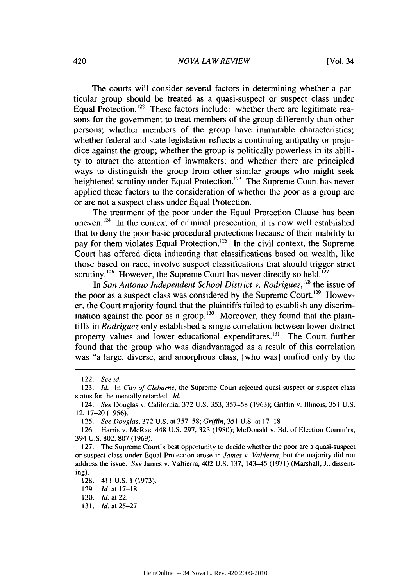#### *NOVA LAW REVIEW*

The courts will consider several factors in determining whether a particular group should be treated as a quasi-suspect or suspect class under Equal Protection.<sup>122</sup> These factors include: whether there are legitimate reasons for the government to treat members of the group differently than other persons; whether members of the group have immutable characteristics; whether federal and state legislation reflects a continuing antipathy or prejudice against the group; whether the group is politically powerless in its ability to attract the attention of lawmakers; and whether there are principled ways to distinguish the group from other similar groups who might seek heightened scrutiny under Equal Protection.<sup>123</sup> The Supreme Court has never applied these factors to the consideration of whether the poor as a group are or are not a suspect class under Equal Protection.

The treatment of the poor under the Equal Protection Clause has been uneven. $124$  In the context of criminal prosecution, it is now well established that to deny the poor basic procedural protections because of their inability to pay for them violates Equal Protection.<sup>125</sup> In the civil context, the Supreme Court has offered dicta indicating that classifications based on wealth, like those based on race, involve suspect classifications that should trigger strict scrutiny.<sup>126</sup> However, the Supreme Court has never directly so held.<sup>127</sup>

In *San Antonio Independent School District v. Rodriguez, <sup>28</sup>*the issue of the poor as a suspect class was considered by the Supreme Court.<sup>129</sup> However, the Court majority found that the plaintiffs failed to establish any discrimination against the poor as a group.<sup>130</sup> Moreover, they found that the plaintiffs in *Rodriguez* only established a single correlation between lower district property values and lower educational expenditures.<sup>131</sup> The Court further found that the group who was disadvantaged as a result of this correlation was "a large, diverse, and amorphous class, [who was] unified only by the

<sup>122.</sup> See id.

<sup>123.</sup> *Id.* In *City* of Cleburne, the Supreme Court rejected quasi-suspect or suspect class status for the mentally retarded. Id.

<sup>124.</sup> See Douglas v. California, 372 U.S. 353, 357-58 (1963); Griffin v. Illinois, 351 U.S. 12, 17-20 (1956).

<sup>125.</sup> See Douglas, 372 U.S. at 357-58; *Griffin,* 351 U.S. at 17-18.

<sup>126.</sup> Harris v. McRae, 448 U.S. 297, 323 (1980); McDonald v. Bd. of Election Comm'rs, 394 U.S. 802, 807 (1969).

<sup>127.</sup> The Supreme Court's best opportunity to decide whether the poor are a quasi-suspect or suspect class under Equal Protection arose in James v. Valtierra, but the majority did not address the issue. *See* James v. Valtierra, 402 U.S. 137, 143-45 (1971) (Marshall, **J.,** dissenting).

<sup>128. 411</sup> U.S. **1** (1973).

<sup>129.</sup> *Id.* at 17-18.

**<sup>130.</sup>** *Id.* at 22.

<sup>13</sup> *1.* **Id.** at 25-27.